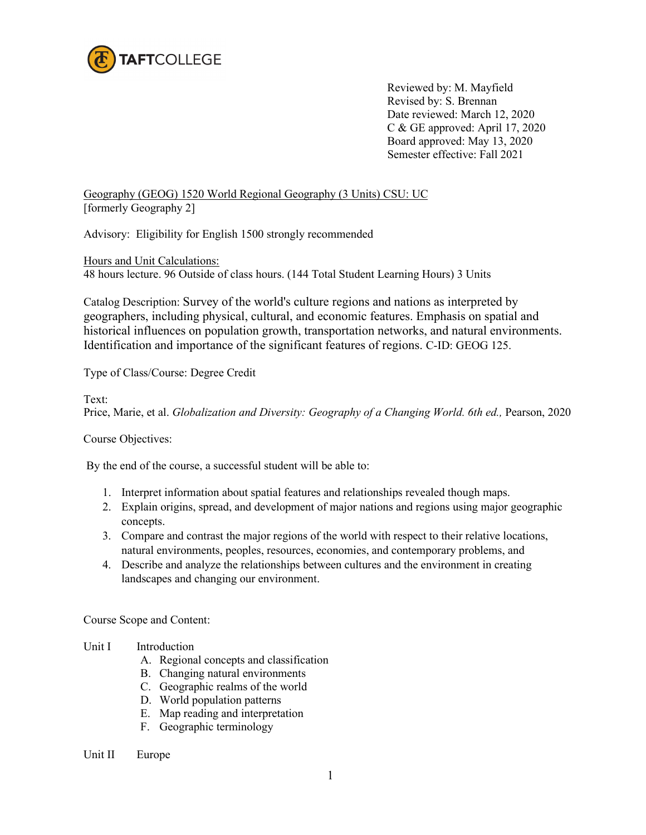

Reviewed by: M. Mayfield Revised by: S. Brennan Date reviewed: March 12, 2020 C & GE approved: April 17, 2020 Board approved: May 13, 2020 Semester effective: Fall 2021

Geography (GEOG) 1520 World Regional Geography (3 Units) CSU: UC [formerly Geography 2]

Advisory: Eligibility for English 1500 strongly recommended

Hours and Unit Calculations: 48 hours lecture. 96 Outside of class hours. (144 Total Student Learning Hours) 3 Units

Catalog Description: Survey of the world's culture regions and nations as interpreted by geographers, including physical, cultural, and economic features. Emphasis on spatial and historical influences on population growth, transportation networks, and natural environments. Identification and importance of the significant features of regions. C-ID: GEOG 125.

Type of Class/Course: Degree Credit

Text:

Price, Marie, et al. *Globalization and Diversity: Geography of a Changing World. 6th ed.,* Pearson, 2020

Course Objectives:

By the end of the course, a successful student will be able to:

- 1. Interpret information about spatial features and relationships revealed though maps.
- 2. Explain origins, spread, and development of major nations and regions using major geographic concepts.
- 3. Compare and contrast the major regions of the world with respect to their relative locations, natural environments, peoples, resources, economies, and contemporary problems, and
- 4. Describe and analyze the relationships between cultures and the environment in creating landscapes and changing our environment.

Course Scope and Content:

- Unit I Introduction
	- A. Regional concepts and classification
	- B. Changing natural environments
	- C. Geographic realms of the world
	- D. World population patterns
	- E. Map reading and interpretation
	- F. Geographic terminology
- Unit II Europe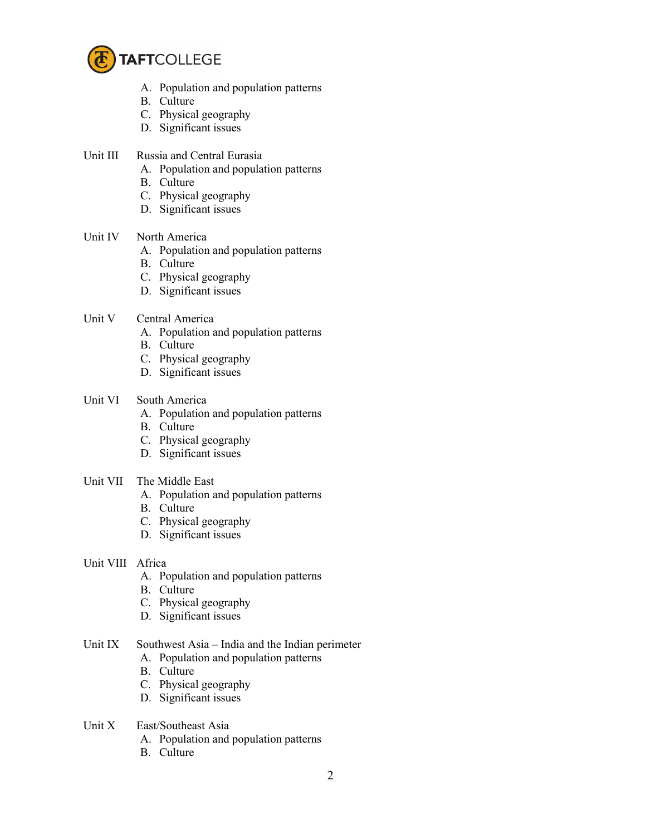

- A. Population and population patterns
- B. Culture
- C. Physical geography
- D. Significant issues
- Unit III Russia and Central Eurasia
	- A. Population and population patterns
	- B. Culture
	- C. Physical geography
	- D. Significant issues
- Unit IV North America
	- A. Population and population patterns
	- B. Culture
	- C. Physical geography
	- D. Significant issues
- Unit V Central America
	- A. Population and population patterns
	- B. Culture
	- C. Physical geography
	- D. Significant issues
- Unit VI South America
	- A. Population and population patterns
	- B. Culture
	- C. Physical geography
	- D. Significant issues
- Unit VII The Middle East
	- A. Population and population patterns
	- B. Culture
	- C. Physical geography
	- D. Significant issues

## Unit VIII Africa

- A. Population and population patterns
- B. Culture
- C. Physical geography
- D. Significant issues

## Unit IX Southwest Asia – India and the Indian perimeter

- A. Population and population patterns
- B. Culture
- C. Physical geography
- D. Significant issues
- Unit X East/Southeast Asia
	- A. Population and population patterns
	- B. Culture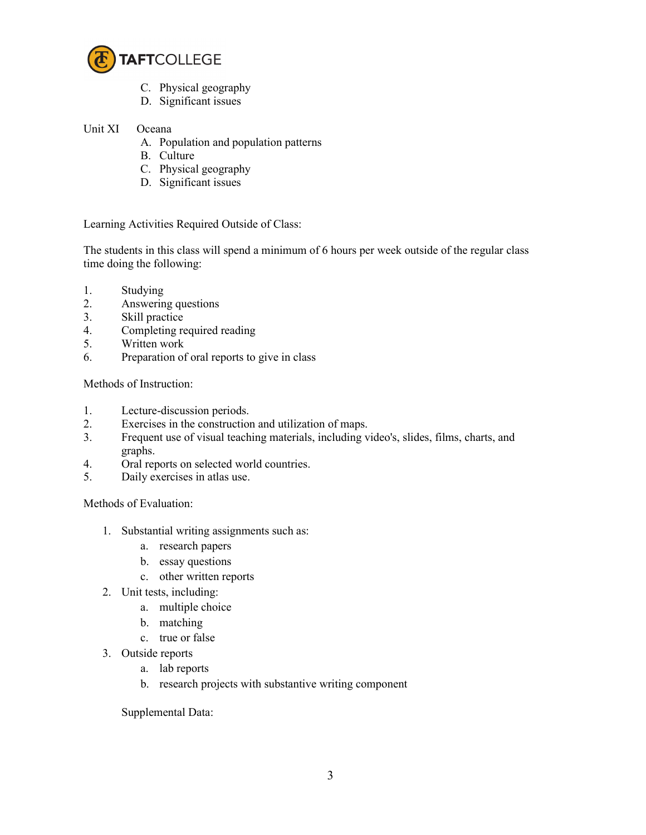

- C. Physical geography
- D. Significant issues

## Unit XI Oceana

- A. Population and population patterns
- B. Culture
- C. Physical geography
- D. Significant issues

Learning Activities Required Outside of Class:

The students in this class will spend a minimum of 6 hours per week outside of the regular class time doing the following:

- 1. Studying
- 2. Answering questions
- 3. Skill practice
- 4. Completing required reading
- 5. Written work
- 6. Preparation of oral reports to give in class

Methods of Instruction:

- 1. Lecture-discussion periods.
- 2. Exercises in the construction and utilization of maps.
- 3. Frequent use of visual teaching materials, including video's, slides, films, charts, and graphs.
- 4. Oral reports on selected world countries.
- 5. Daily exercises in atlas use.

Methods of Evaluation:

- 1. Substantial writing assignments such as:
	- a. research papers
	- b. essay questions
	- c. other written reports
- 2. Unit tests, including:
	- a. multiple choice
	- b. matching
	- c. true or false
- 3. Outside reports
	- a. lab reports
	- b. research projects with substantive writing component

Supplemental Data: